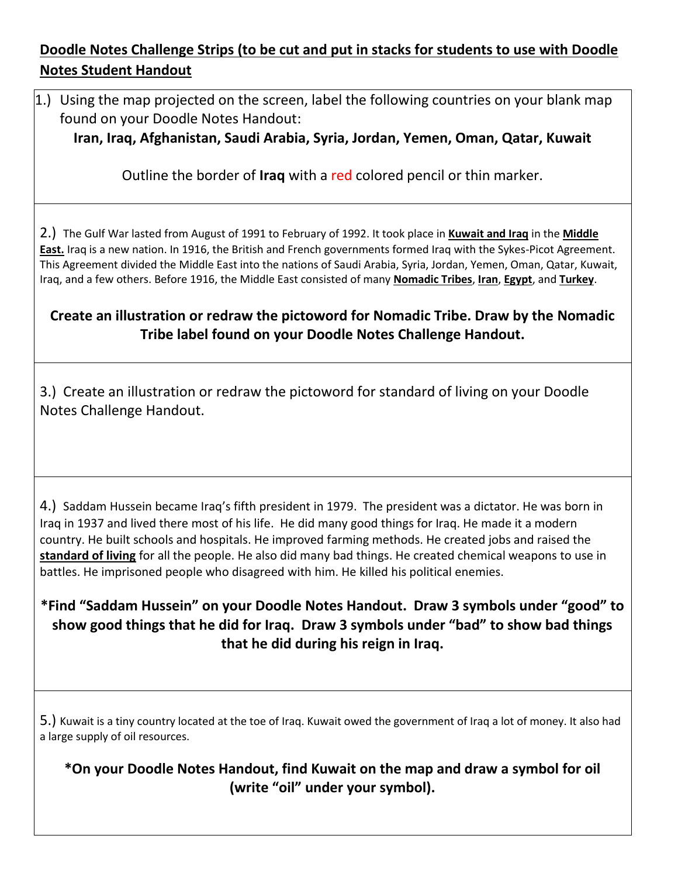## **Doodle Notes Challenge Strips (to be cut and put in stacks for students to use with Doodle Notes Student Handout**

1.) Using the map projected on the screen, label the following countries on your blank map found on your Doodle Notes Handout:

**Iran, Iraq, Afghanistan, Saudi Arabia, Syria, Jordan, Yemen, Oman, Qatar, Kuwait**

Outline the border of **Iraq** with a red colored pencil or thin marker.

2.) The Gulf War lasted from August of 1991 to February of 1992. It took place in **Kuwait and Iraq** in the **Middle East.** Iraq is a new nation. In 1916, the British and French governments formed Iraq with the Sykes-Picot Agreement. This Agreement divided the Middle East into the nations of Saudi Arabia, Syria, Jordan, Yemen, Oman, Qatar, Kuwait, Iraq, and a few others. Before 1916, the Middle East consisted of many **Nomadic Tribes**, **Iran**, **Egypt**, and **Turkey**.

## **Create an illustration or redraw the pictoword for Nomadic Tribe. Draw by the Nomadic Tribe label found on your Doodle Notes Challenge Handout.**

3.) Create an illustration or redraw the pictoword for standard of living on your Doodle Notes Challenge Handout.

4.) Saddam Hussein became Iraq's fifth president in 1979. The president was a dictator. He was born in Iraq in 1937 and lived there most of his life. He did many good things for Iraq. He made it a modern country. He built schools and hospitals. He improved farming methods. He created jobs and raised the **standard of living** for all the people. He also did many bad things. He created chemical weapons to use in battles. He imprisoned people who disagreed with him. He killed his political enemies.

**\*Find "Saddam Hussein" on your Doodle Notes Handout. Draw 3 symbols under "good" to show good things that he did for Iraq. Draw 3 symbols under "bad" to show bad things that he did during his reign in Iraq.**

5.) Kuwait is a tiny country located at the toe of Iraq. Kuwait owed the government of Iraq a lot of money. It also had a large supply of oil resources.

**\*On your Doodle Notes Handout, find Kuwait on the map and draw a symbol for oil (write "oil" under your symbol).**